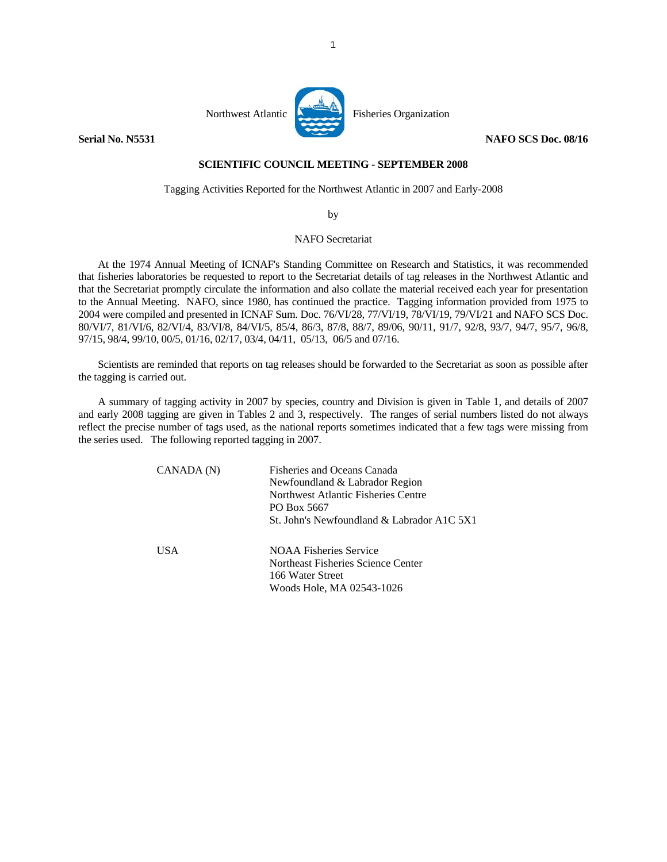

## **SCIENTIFIC COUNCIL MEETING - SEPTEMBER 2008**

Tagging Activities Reported for the Northwest Atlantic in 2007 and Early-2008

by

## NAFO Secretariat

 At the 1974 Annual Meeting of ICNAF's Standing Committee on Research and Statistics, it was recommended that fisheries laboratories be requested to report to the Secretariat details of tag releases in the Northwest Atlantic and that the Secretariat promptly circulate the information and also collate the material received each year for presentation to the Annual Meeting. NAFO, since 1980, has continued the practice. Tagging information provided from 1975 to 2004 were compiled and presented in ICNAF Sum. Doc. 76/VI/28, 77/VI/19, 78/VI/19, 79/VI/21 and NAFO SCS Doc. 80/VI/7, 81/VI/6, 82/VI/4, 83/VI/8, 84/VI/5, 85/4, 86/3, 87/8, 88/7, 89/06, 90/11, 91/7, 92/8, 93/7, 94/7, 95/7, 96/8, 97/15, 98/4, 99/10, 00/5, 01/16, 02/17, 03/4, 04/11, 05/13, 06/5 and 07/16.

 Scientists are reminded that reports on tag releases should be forwarded to the Secretariat as soon as possible after the tagging is carried out.

 A summary of tagging activity in 2007 by species, country and Division is given in Table 1, and details of 2007 and early 2008 tagging are given in Tables 2 and 3, respectively. The ranges of serial numbers listed do not always reflect the precise number of tags used, as the national reports sometimes indicated that a few tags were missing from the series used. The following reported tagging in 2007.

| CANADA (N) | <b>Fisheries and Oceans Canada</b><br>Newfoundland & Labrador Region<br>Northwest Atlantic Fisheries Centre<br>PO Box 5667<br>St. John's Newfoundland & Labrador A1C 5X1 |
|------------|--------------------------------------------------------------------------------------------------------------------------------------------------------------------------|
| USA.       | <b>NOAA Fisheries Service</b><br>Northeast Fisheries Science Center<br>166 Water Street<br>Woods Hole, MA 02543-1026                                                     |

1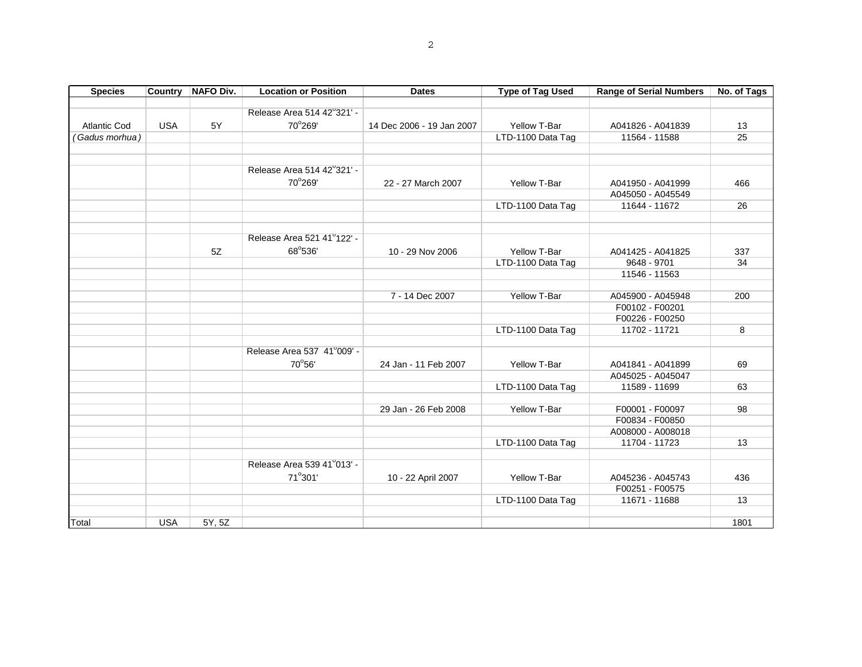| <b>Species</b>      | <b>Country</b> | <b>NAFO Div.</b> | <b>Location or Position</b> | <b>Dates</b>              | <b>Type of Tag Used</b> | <b>Range of Serial Numbers</b> | No. of Tags |
|---------------------|----------------|------------------|-----------------------------|---------------------------|-------------------------|--------------------------------|-------------|
|                     |                |                  |                             |                           |                         |                                |             |
|                     |                |                  | Release Area 514 42°321' -  |                           |                         |                                |             |
| <b>Atlantic Cod</b> | <b>USA</b>     | 5Y               | 70°269'                     | 14 Dec 2006 - 19 Jan 2007 | Yellow T-Bar            | A041826 - A041839              | 13          |
| (Gadus morhua)      |                |                  |                             |                           | LTD-1100 Data Tag       | 11564 - 11588                  | 25          |
|                     |                |                  |                             |                           |                         |                                |             |
|                     |                |                  |                             |                           |                         |                                |             |
|                     |                |                  | Release Area 514 42°321' -  |                           |                         |                                |             |
|                     |                |                  | 70°269'                     | 22 - 27 March 2007        | Yellow T-Bar            | A041950 - A041999              | 466         |
|                     |                |                  |                             |                           |                         | A045050 - A045549              |             |
|                     |                |                  |                             |                           | LTD-1100 Data Tag       | 11644 - 11672                  | 26          |
|                     |                |                  |                             |                           |                         |                                |             |
|                     |                |                  | Release Area 521 41°122' -  |                           |                         |                                |             |
|                     |                | 5Z               | 68°536'                     | 10 - 29 Nov 2006          | Yellow T-Bar            | A041425 - A041825              | 337         |
|                     |                |                  |                             |                           | LTD-1100 Data Tag       | 9648 - 9701                    | 34          |
|                     |                |                  |                             |                           |                         | 11546 - 11563                  |             |
|                     |                |                  |                             |                           |                         |                                |             |
|                     |                |                  |                             | 7 - 14 Dec 2007           | Yellow T-Bar            | A045900 - A045948              | 200         |
|                     |                |                  |                             |                           |                         | F00102 - F00201                |             |
|                     |                |                  |                             |                           |                         | F00226 - F00250                |             |
|                     |                |                  |                             |                           | LTD-1100 Data Tag       | 11702 - 11721                  | 8           |
|                     |                |                  |                             |                           |                         |                                |             |
|                     |                |                  | Release Area 537 41°009' -  |                           |                         |                                |             |
|                     |                |                  | 70°56'                      | 24 Jan - 11 Feb 2007      | Yellow T-Bar            | A041841 - A041899              | 69          |
|                     |                |                  |                             |                           |                         | A045025 - A045047              |             |
|                     |                |                  |                             |                           | LTD-1100 Data Tag       | 11589 - 11699                  | 63          |
|                     |                |                  |                             |                           |                         |                                |             |
|                     |                |                  |                             | 29 Jan - 26 Feb 2008      | Yellow T-Bar            | F00001 - F00097                | 98          |
|                     |                |                  |                             |                           |                         | F00834 - F00850                |             |
|                     |                |                  |                             |                           |                         | A008000 - A008018              |             |
|                     |                |                  |                             |                           | LTD-1100 Data Tag       | 11704 - 11723                  | 13          |
|                     |                |                  | Release Area 539 41°013' -  |                           |                         |                                |             |
|                     |                |                  | 71°301'                     |                           | Yellow T-Bar            | A045236 - A045743              | 436         |
|                     |                |                  |                             | 10 - 22 April 2007        |                         | F00251 - F00575                |             |
|                     |                |                  |                             |                           | LTD-1100 Data Tag       | 11671 - 11688                  | 13          |
|                     |                |                  |                             |                           |                         |                                |             |
| Total               | <b>USA</b>     | 5Y, 5Z           |                             |                           |                         |                                | 1801        |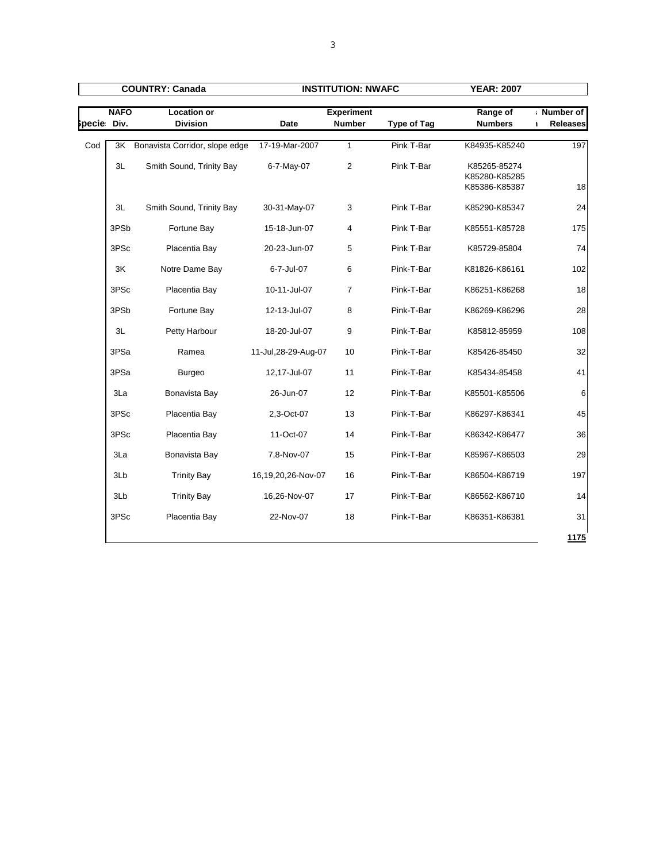| <b>COUNTRY: Canada</b> |                  |                                       | <b>INSTITUTION: NWAFC</b> |                                    |                    |                                                |                              |
|------------------------|------------------|---------------------------------------|---------------------------|------------------------------------|--------------------|------------------------------------------------|------------------------------|
| pecie Div.             | <b>NAFO</b>      | <b>Location or</b><br><b>Division</b> | <b>Date</b>               | <b>Experiment</b><br><b>Number</b> | <b>Type of Tag</b> | Range of<br><b>Numbers</b>                     | Number of<br><b>Releases</b> |
| Cod                    | 3K               | Bonavista Corridor, slope edge        | 17-19-Mar-2007            | $\mathbf{1}$                       | Pink T-Bar         | K84935-K85240                                  | 197                          |
|                        | 3L               | Smith Sound, Trinity Bay              | 6-7-May-07                | $\overline{2}$                     | Pink T-Bar         | K85265-85274<br>K85280-K85285<br>K85386-K85387 | 18                           |
|                        | 3L               | Smith Sound, Trinity Bay              | 30-31-May-07              | 3                                  | Pink T-Bar         | K85290-K85347                                  | 24                           |
|                        | 3PSb             | Fortune Bay                           | 15-18-Jun-07              | 4                                  | Pink T-Bar         | K85551-K85728                                  | 175                          |
|                        | 3PSc             | Placentia Bay                         | 20-23-Jun-07              | 5                                  | Pink T-Bar         | K85729-85804                                   | 74                           |
|                        | 3K               | Notre Dame Bay                        | 6-7-Jul-07                | 6                                  | Pink-T-Bar         | K81826-K86161                                  | 102                          |
|                        | 3PSc             | Placentia Bay                         | 10-11-Jul-07              | $\overline{7}$                     | Pink-T-Bar         | K86251-K86268                                  | 18                           |
|                        | 3PS <sub>b</sub> | Fortune Bay                           | 12-13-Jul-07              | 8                                  | Pink-T-Bar         | K86269-K86296                                  | 28                           |
|                        | 3L               | Petty Harbour                         | 18-20-Jul-07              | 9                                  | Pink-T-Bar         | K85812-85959                                   | 108                          |
|                        | 3PSa             | Ramea                                 | 11-Jul, 28-29-Aug-07      | 10                                 | Pink-T-Bar         | K85426-85450                                   | 32                           |
|                        | 3PSa             | <b>Burgeo</b>                         | 12,17-Jul-07              | 11                                 | Pink-T-Bar         | K85434-85458                                   | 41                           |
|                        | 3La              | Bonavista Bay                         | 26-Jun-07                 | 12                                 | Pink-T-Bar         | K85501-K85506                                  | 6                            |
|                        | 3PSc             | Placentia Bay                         | 2,3-Oct-07                | 13                                 | Pink-T-Bar         | K86297-K86341                                  | 45                           |
|                        | 3PSc             | Placentia Bay                         | 11-Oct-07                 | 14                                 | Pink-T-Bar         | K86342-K86477                                  | 36                           |
|                        | 3La              | Bonavista Bay                         | 7,8-Nov-07                | 15                                 | Pink-T-Bar         | K85967-K86503                                  | 29                           |
|                        | 3Lb              | <b>Trinity Bay</b>                    | 16,19,20,26-Nov-07        | 16                                 | Pink-T-Bar         | K86504-K86719                                  | 197                          |
|                        | 3Lb              | <b>Trinity Bay</b>                    | 16,26-Nov-07              | 17                                 | Pink-T-Bar         | K86562-K86710                                  | 14                           |
|                        | 3PSc             | Placentia Bay                         | 22-Nov-07                 | 18                                 | Pink-T-Bar         | K86351-K86381                                  | 31                           |
|                        |                  |                                       |                           |                                    |                    |                                                | 1175                         |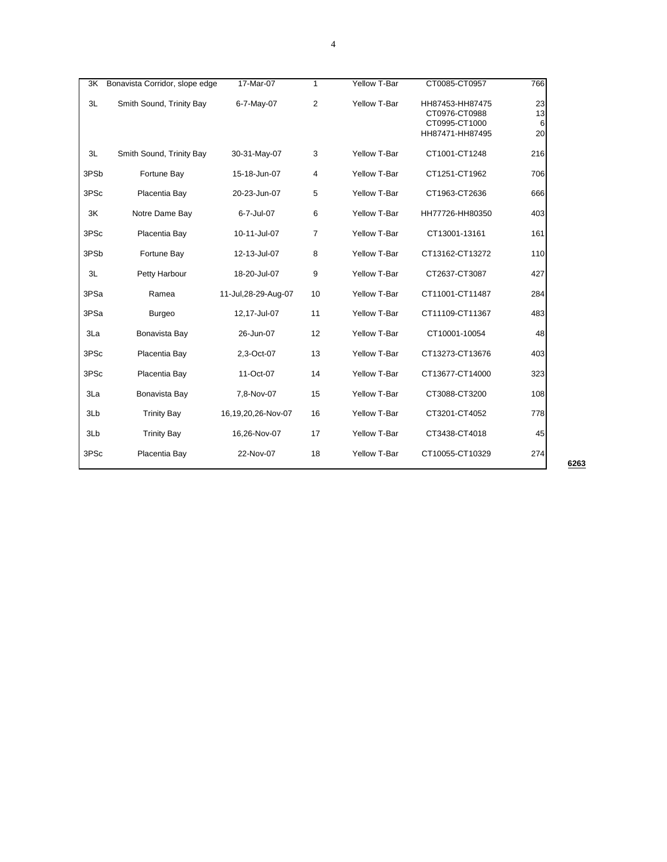| 3K               | Bonavista Corridor, slope edge | 17-Mar-07            | $\mathbf{1}$   | Yellow T-Bar | CT0085-CT0957                                                        | 766                 |
|------------------|--------------------------------|----------------------|----------------|--------------|----------------------------------------------------------------------|---------------------|
| 3L               | Smith Sound, Trinity Bay       | 6-7-May-07           | $\overline{2}$ | Yellow T-Bar | HH87453-HH87475<br>CT0976-CT0988<br>CT0995-CT1000<br>HH87471-HH87495 | 23<br>13<br>6<br>20 |
| 3L               | Smith Sound, Trinity Bay       | 30-31-May-07         | 3              | Yellow T-Bar | CT1001-CT1248                                                        | 216                 |
| 3PS <sub>b</sub> | Fortune Bay                    | 15-18-Jun-07         | 4              | Yellow T-Bar | CT1251-CT1962                                                        | 706                 |
| 3PSc             | Placentia Bay                  | 20-23-Jun-07         | 5              | Yellow T-Bar | CT1963-CT2636                                                        | 666                 |
| 3K               | Notre Dame Bay                 | 6-7-Jul-07           | 6              | Yellow T-Bar | HH77726-HH80350                                                      | 403                 |
| 3PSc             | Placentia Bay                  | 10-11-Jul-07         | $\overline{7}$ | Yellow T-Bar | CT13001-13161                                                        | 161                 |
| 3PS <sub>b</sub> | Fortune Bay                    | 12-13-Jul-07         | 8              | Yellow T-Bar | CT13162-CT13272                                                      | 110                 |
| 3L               | Petty Harbour                  | 18-20-Jul-07         | 9              | Yellow T-Bar | CT2637-CT3087                                                        | 427                 |
| 3PSa             | Ramea                          | 11-Jul, 28-29-Aug-07 | 10             | Yellow T-Bar | CT11001-CT11487                                                      | 284                 |
| 3PSa             | <b>Burgeo</b>                  | 12,17-Jul-07         | 11             | Yellow T-Bar | CT11109-CT11367                                                      | 483                 |
| 3La              | Bonavista Bay                  | 26-Jun-07            | 12             | Yellow T-Bar | CT10001-10054                                                        | 48                  |
| 3PSc             | Placentia Bay                  | 2,3-Oct-07           | 13             | Yellow T-Bar | CT13273-CT13676                                                      | 403                 |
| 3PSc             | Placentia Bay                  | 11-Oct-07            | 14             | Yellow T-Bar | CT13677-CT14000                                                      | 323                 |
| 3La              | Bonavista Bay                  | 7,8-Nov-07           | 15             | Yellow T-Bar | CT3088-CT3200                                                        | 108                 |
| 3Lb              | <b>Trinity Bay</b>             | 16,19,20,26-Nov-07   | 16             | Yellow T-Bar | CT3201-CT4052                                                        | 778                 |
| 3Lb              | <b>Trinity Bay</b>             | 16,26-Nov-07         | 17             | Yellow T-Bar | CT3438-CT4018                                                        | 45                  |
| 3PSc             | Placentia Bay                  | 22-Nov-07            | 18             | Yellow T-Bar | CT10055-CT10329                                                      | 274                 |

**6263**